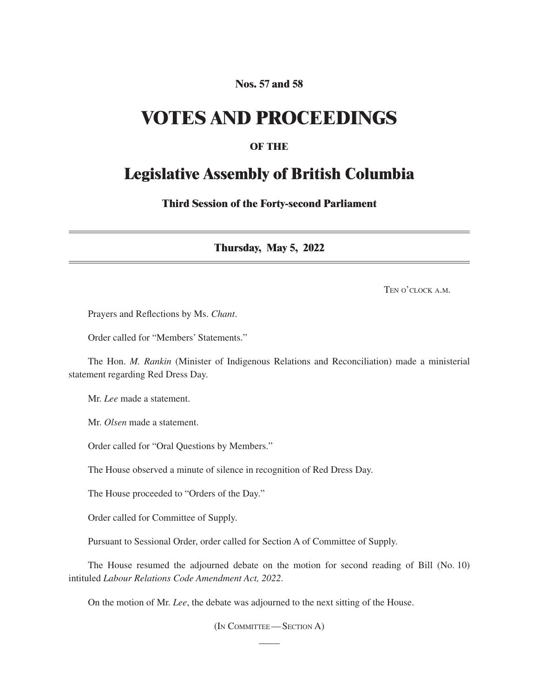## **Nos. 57 and 58**

## **VOTES AND PROCEEDINGS**

## **OF THE**

## **Legislative Assembly of British Columbia**

**Third Session of the Forty-second Parliament**

**Thursday, May 5, 2022**

TEN O'CLOCK A.M.

Prayers and Reflections by Ms. *Chant*.

Order called for "Members' Statements."

The Hon. *M. Rankin* (Minister of Indigenous Relations and Reconciliation) made a ministerial statement regarding Red Dress Day.

Mr. *Lee* made a statement.

Mr. *Olsen* made a statement.

Order called for "Oral Questions by Members."

The House observed a minute of silence in recognition of Red Dress Day.

The House proceeded to "Orders of the Day."

Order called for Committee of Supply.

Pursuant to Sessional Order, order called for Section A of Committee of Supply.

The House resumed the adjourned debate on the motion for second reading of Bill (No. 10) intituled *Labour Relations Code Amendment Act, 2022*.

On the motion of Mr. *Lee*, the debate was adjourned to the next sitting of the House.

(In Committee—Section A)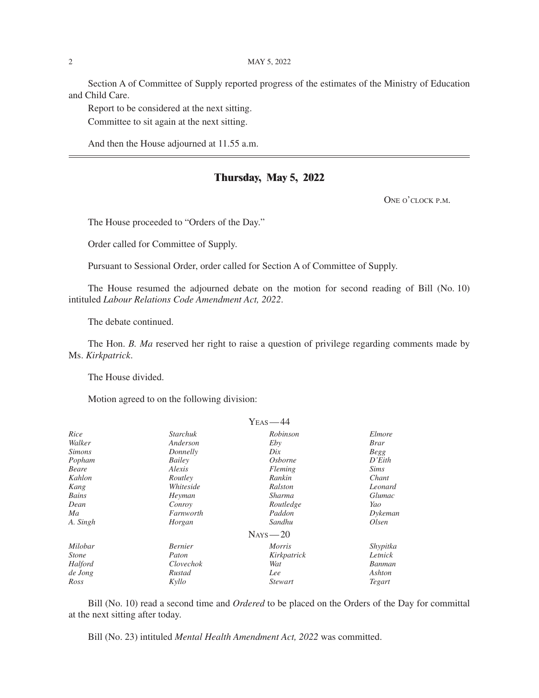Section A of Committee of Supply reported progress of the estimates of the Ministry of Education and Child Care.

Report to be considered at the next sitting.

Committee to sit again at the next sitting.

And then the House adjourned at 11.55 a.m.

### **Thursday, May 5, 2022**

ONE O'CLOCK P.M.

The House proceeded to "Orders of the Day."

Order called for Committee of Supply.

Pursuant to Sessional Order, order called for Section A of Committee of Supply.

The House resumed the adjourned debate on the motion for second reading of Bill (No. 10) intituled *Labour Relations Code Amendment Act, 2022*.

The debate continued.

The Hon. *B. Ma* reserved her right to raise a question of privilege regarding comments made by Ms. *Kirkpatrick*.

The House divided.

Motion agreed to on the following division:

|               |                 | $Y_{\rm EAS}\! =\! 44$ |             |
|---------------|-----------------|------------------------|-------------|
| Rice          | <b>Starchuk</b> | Robinson               | Elmore      |
| Walker        | Anderson        | Eby                    | <i>Brar</i> |
| <i>Simons</i> | Donnelly        | Dix                    | <b>Begg</b> |
| Popham        | Bailey          | <i>Osborne</i>         | D'Eith      |
| Beare         | Alexis          | Fleming                | <i>Sims</i> |
| Kahlon        | Routley         | Rankin                 | Chant       |
| Kang          | Whiteside       | Ralston                | Leonard     |
| Bains         | Heyman          | Sharma                 | Glumac      |
| Dean          | Conroy          | Routledge              | Yao         |
| Ma            | Farnworth       | Paddon                 | Dykeman     |
| A. Singh      | Horgan          | Sandhu                 | Olsen       |
|               |                 | $N_{AYS}$ - 20         |             |
| Milobar       | <b>Bernier</b>  | <i>Morris</i>          | Shypitka    |
| <i>Stone</i>  | Paton           | Kirkpatrick            | Letnick     |
| Halford       | Clovechok       | Wat                    | Banman      |
| de Jong       | Rustad          | Lee                    | Ashton      |
| Ross          | Kyllo           | <i>Stewart</i>         | Tegart      |

Bill (No. 10) read a second time and *Ordered* to be placed on the Orders of the Day for committal at the next sitting after today.

Bill (No. 23) intituled *Mental Health Amendment Act, 2022* was committed.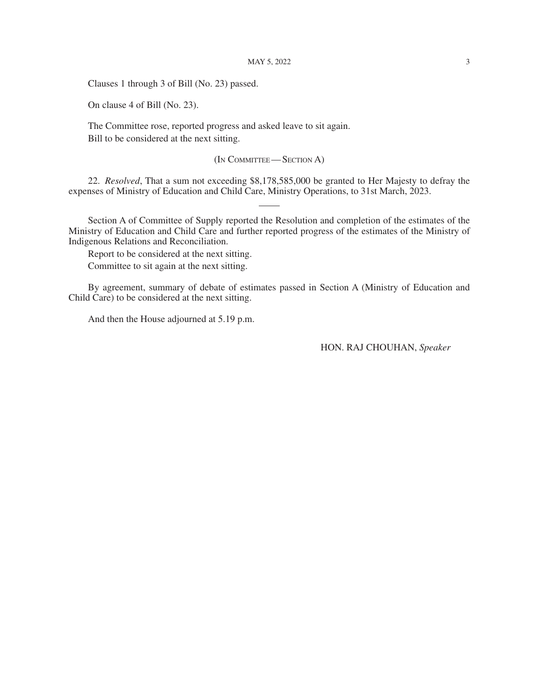Clauses 1 through 3 of Bill (No. 23) passed.

On clause 4 of Bill (No. 23).

The Committee rose, reported progress and asked leave to sit again. Bill to be considered at the next sitting.

#### (In Committee—Section A)

22. *Resolved*, That a sum not exceeding \$8,178,585,000 be granted to Her Majesty to defray the expenses of Ministry of Education and Child Care, Ministry Operations, to 31st March, 2023.

Section A of Committee of Supply reported the Resolution and completion of the estimates of the Ministry of Education and Child Care and further reported progress of the estimates of the Ministry of Indigenous Relations and Reconciliation.

Report to be considered at the next sitting. Committee to sit again at the next sitting.

By agreement, summary of debate of estimates passed in Section A (Ministry of Education and Child Care) to be considered at the next sitting.

And then the House adjourned at 5.19 p.m.

HON. RAJ CHOUHAN, *Speaker*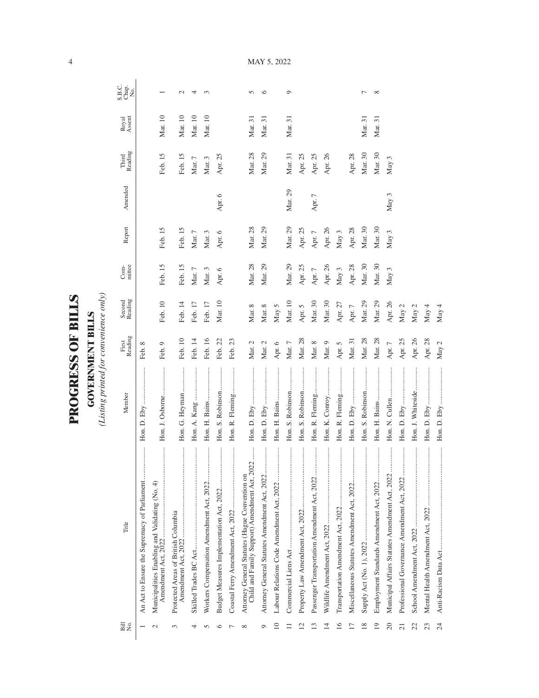| ١             |
|---------------|
| l,            |
|               |
| ļ             |
|               |
|               |
| $\frac{1}{2}$ |
|               |
| <b>CCL</b>    |
|               |
|               |
|               |
| ۲             |
|               |
|               |
|               |
|               |

**GOVERNMENT BILLS**<br>(Listing printed for convenience only) *(Listing printed for convenience only)*

**GOVERNMENT BILLS**

| Bill<br>N⊙.     | Title                                                                                           | Member            | First<br>Reading | Second<br>Reading | mittee<br>Com-  | Report          | Amended          | Reading<br>Third | Royal<br>Assent | S.B.C.<br>Chap.<br>No. |
|-----------------|-------------------------------------------------------------------------------------------------|-------------------|------------------|-------------------|-----------------|-----------------|------------------|------------------|-----------------|------------------------|
|                 | An Act to Ensure the Supremacy of Parliament                                                    |                   | Feb. 8           |                   |                 |                 |                  |                  |                 |                        |
| $\sim$          | <br>Municipalities Enabling and Validating (No. 4)<br>Amendment Act, 2022                       | Hon. J. Osborne   | Feb. 9           | Feb. 10           | Feb. 15         | Feb. 15         |                  | Feb. 15          | Mar. 10         |                        |
| 3               | Protected Areas of British Columbia                                                             | Hon. G. Heyman    | Feb. 10          | Feb. 14           | Feb. 15         | Feb. 15         |                  | Feb. 15          | Mar. 10         | $\sim$                 |
| 4               |                                                                                                 | Hon. A. Kang      | Feb. 14          | Feb. 17           | $\rm{Mar.}$ $7$ | $\rm{Mar.}$ $7$ |                  | $\rm{Mar.}$ $7$  | $\rm{Mar.}\,10$ | ↤                      |
| S               | <br>Workers Compensation Amendment Act, 2022                                                    | Hon. H. Bains     | Feb. 16          | Feb. 17           | Mar. 3          | Mar. 3          |                  | Mar. 3           | Mar. 10         | $\infty$               |
| ∽               |                                                                                                 | Hon. S. Robinson  | Feb. 22          | Mar. 10           | Apr. 6          | Apr. 6          | Apr. 6           | Apr. 25          |                 |                        |
|                 |                                                                                                 | Hon. R. Fleming   | Feb. 23          |                   |                 |                 |                  |                  |                 |                        |
| $\infty$        | Child and Family Support) Amendment Act, 2022<br>Attorney General Statutes (Hague Convention on |                   | Mar. 2           | Mar. 8            | Mar. 28         | Mar. 28         |                  | Mar. 28          | Mar. 31         | $\Omega$               |
| σ               | Attorney General Statutes Amendment Act, 2022                                                   |                   | Mar. 2           | Mar. 8            | Mar. 29         | Mar. 29         |                  | Mar. 29          | Mar. 31         | ৩                      |
| $\overline{10}$ |                                                                                                 |                   | Apr. $6\,$       | May 5             |                 |                 |                  |                  |                 |                        |
|                 |                                                                                                 | Hon. S. Robinson  | Mar. 7           | Mar. 10           | Mar. 29         | Mar. 29         | Mar. 29          | Mar. 31          | Mar. 31         | $\circ$                |
| $\overline{c}$  | .<br>.<br>.<br>.<br>.<br>.<br>.                                                                 | Hon. S. Robinson  | Mar. 28          | Apr. 5            | Apr. 25         | Apr. 25         |                  | Apr. 25          |                 |                        |
| $\mathbf{1}^3$  | Passenger Transportation Amendment Act, 2022                                                    | Hon. R. Fleming   | Mar. 8           | Mar. 30           | Apr. $7$        | Apr. 7          | Apr. 7           | Apr. 25          |                 |                        |
| $\overline{14}$ |                                                                                                 | Hon. K. Conroy    | Mar. 9           | Mar. 30           | Apr. 26         | Apr. 26         |                  | Apr. 26          |                 |                        |
| $\overline{16}$ | <br>Transportation Amendment Act, 2022                                                          | Hon. R. Fleming   | Apr. 5           | Apr. 27           | May $3$         | May 3           |                  |                  |                 |                        |
| $\overline{17}$ | <br>Miscellaneous Statutes Amendment Act, 2022                                                  |                   | Mar. 31          | Apr. $7$          | Apr. 28         | Apr. 28         |                  | Apr. 28          |                 |                        |
| 18              |                                                                                                 | Hon. S. Robinson  | Mar. 28          | Mar. 29           | Mar. 30         | Mar. 30         |                  | Mar. 30          | Mar. 31         | ∼                      |
| 19              | <br>Employment Standards Amendment Act, 2022                                                    |                   | Mar. 28          | Mar. 29           | Mar. 30         | Mar. 30         |                  | Mar. 30          | Mar. 31         | $\infty$               |
| 20              | Municipal Affairs Statutes Amendment Act, 2022                                                  | Hon. N. Cullen    | Apr. $7$         | Apr. 26           | May 3           | May 3           | May <sub>3</sub> | May 3            |                 |                        |
| $\overline{c}$  | <br>Professional Governance Amendment Act, 2022                                                 | <br>Hon. D. Eby   | Apr. 25          | May $2$           |                 |                 |                  |                  |                 |                        |
| 22              |                                                                                                 | Hon. J. Whiteside | Apr. 26          | May $2$           |                 |                 |                  |                  |                 |                        |
| 23              |                                                                                                 |                   | Apr. 28          | May 4             |                 |                 |                  |                  |                 |                        |
| 24              |                                                                                                 |                   | May $2$          | May 4             |                 |                 |                  |                  |                 |                        |

MAY 5, 2022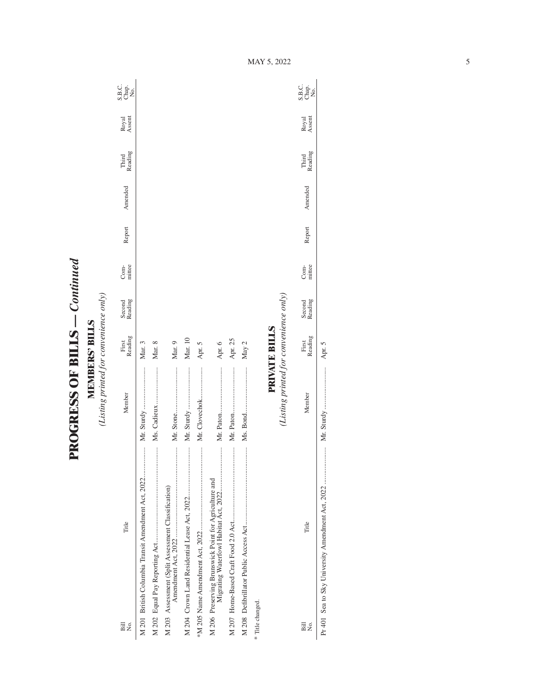**PROGRESS OF BILLS - Continued PROGRESS OF BILLS** *— Continued*

**MEMBERS' BILLS**<br>(Listing printed for convenience only) *(Listing printed for convenience only)* **MEMBERS' BILLS**

| $\overline{B}$<br>Σó, | Title                                              | Member                                 | Reading<br>First     | Second<br>Reading | mittee<br>Com- | Report | Amended | Reading<br>Third | Royal<br>Assent | S.B.c.<br>Chap.<br>No.           |
|-----------------------|----------------------------------------------------|----------------------------------------|----------------------|-------------------|----------------|--------|---------|------------------|-----------------|----------------------------------|
|                       | M 201 British Columbia Transit Amendment Act, 2022 |                                        | Mar. 3               |                   |                |        |         |                  |                 |                                  |
|                       |                                                    |                                        | Mar. 8               |                   |                |        |         |                  |                 |                                  |
|                       | M 203 Assessment (Split Assessment Classification) |                                        | Mar. 9               |                   |                |        |         |                  |                 |                                  |
|                       |                                                    |                                        | Mar. 10              |                   |                |        |         |                  |                 |                                  |
|                       | .                                                  | Mr. Clovechok                          | Apr. 5               |                   |                |        |         |                  |                 |                                  |
|                       |                                                    |                                        | Apr. 6               |                   |                |        |         |                  |                 |                                  |
|                       |                                                    |                                        | Apr. 25              |                   |                |        |         |                  |                 |                                  |
|                       |                                                    |                                        | May 2                |                   |                |        |         |                  |                 |                                  |
| * Title changed.      |                                                    |                                        |                      |                   |                |        |         |                  |                 |                                  |
|                       |                                                    | (Listing printed for convenience only) | <b>PRIVATE BILLS</b> |                   |                |        |         |                  |                 |                                  |
| Bill<br>Σó,           | Title                                              | Member                                 | Reading<br>First     | Second<br>Reading | mittee<br>Com- | Report | Amended | Third<br>Reading | Royal<br>Assent | C<br>SB <sub>Q</sub><br>SBQ<br>Z |

Pr 401 Sea to Sky University Amendment Act, 2022 ..................... Mr. Sturdy ........................ Apr. 5

Apr. 5

MAY 5, 2022